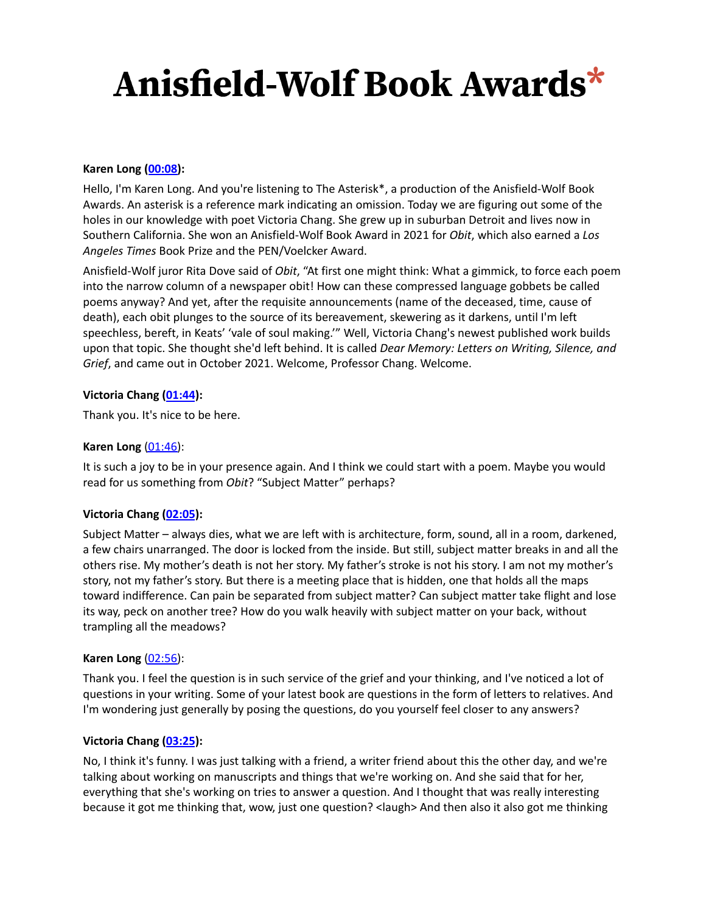#### **Karen Long ([00:08\)](https://www.rev.com/transcript-editor/Edit?token=IW47o473HdqYTzI_rxCUASjQAOe02JXwjWicAEsslEb-odEvjP34r2mOsdiSwNAXi1PWe-HdpjUuPgBt-QnA2o3VzZw&loadFrom=DocumentDeeplink&ts=8.85):**

Hello, I'm Karen Long. And you're listening to The Asterisk\*, a production of the Anisfield-Wolf Book Awards. An asterisk is a reference mark indicating an omission. Today we are figuring out some of the holes in our knowledge with poet Victoria Chang. She grew up in suburban Detroit and lives now in Southern California. She won an Anisfield-Wolf Book Award in 2021 for *Obit*, which also earned a *Los Angeles Times* Book Prize and the PEN/Voelcker Award.

Anisfield-Wolf juror Rita Dove said of *Obit*, "At first one might think: What a gimmick, to force each poem into the narrow column of a newspaper obit! How can these compressed language gobbets be called poems anyway? And yet, after the requisite announcements (name of the deceased, time, cause of death), each obit plunges to the source of its bereavement, skewering as it darkens, until I'm left speechless, bereft, in Keats' 'vale of soul making.'" Well, Victoria Chang's newest published work builds upon that topic. She thought she'd left behind. It is called *Dear Memory: Letters on Writing, Silence, and Grief*, and came out in October 2021. Welcome, Professor Chang. Welcome.

#### **Victoria Chang [\(01:44](https://www.rev.com/transcript-editor/Edit?token=XNzY7j1OAKRjgqpN_JPhcP-Tl8hNoY5qyGQrvsvt1n4ye9KXLL4wBwfxycCQati3O1TO8DXI2nILZqZkCWiiBWRAxbs&loadFrom=DocumentDeeplink&ts=104.959)):**

Thank you. It's nice to be here.

#### **Karen Long** [\(01:46\)](https://www.rev.com/transcript-editor/Edit?token=gPnt-CEhBE0EfMW2-XLF3YrCz5OX958QxYvV-bu5kay4j8GdN4yz05X-mpyInh8yaxQHhvYCdjHJw_1MsYDj4_OVyo8&loadFrom=DocumentDeeplink&ts=106.97):

It is such a joy to be in your presence again. And I think we could start with a poem. Maybe you would read for us something from *Obit*? "Subject Matter" perhaps?

#### **Victoria Chang [\(02:05](https://www.rev.com/transcript-editor/Edit?token=uAVFycP8g0RaX2o7saVPCCR38vOSDcfsdmmlq-TNsB9XHr_Gi1CZj3XsriKjN1mEGSrN4YMQ-g9jrKnTwpVfyR7leh0&loadFrom=DocumentDeeplink&ts=125.65)):**

Subject Matter – always dies, what we are left with is architecture, form, sound, all in a room, darkened, a few chairs unarranged. The door is locked from the inside. But still, subject matter breaks in and all the others rise. My mother's death is not her story. My father's stroke is not his story. I am not my mother's story, not my father's story. But there is a meeting place that is hidden, one that holds all the maps toward indifference. Can pain be separated from subject matter? Can subject matter take flight and lose its way, peck on another tree? How do you walk heavily with subject matter on your back, without trampling all the meadows?

#### **Karen Long** [\(02:56\)](https://www.rev.com/transcript-editor/Edit?token=oiu46ZNejRbhr4k2fHt2J9FUisncOMC3wVT11X9eyYNMSsl-cIbbQKrt6aTg8rsQCJ5vUbHZ78Kdv3YBnr5XjrIbXyM&loadFrom=DocumentDeeplink&ts=176.72):

Thank you. I feel the question is in such service of the grief and your thinking, and I've noticed a lot of questions in your writing. Some of your latest book are questions in the form of letters to relatives. And I'm wondering just generally by posing the questions, do you yourself feel closer to any answers?

#### **Victoria Chang [\(03:25](https://www.rev.com/transcript-editor/Edit?token=rAAXLRBUcqVvDY9IHxk2QyBE0e8kTtcYCxU83y0drdCY17Ks-VV4m5Q7KUvvoFfbNSBeAXiIyW_aJG8KbtcOY-ra6SQ&loadFrom=DocumentDeeplink&ts=205.669)):**

No, I think it's funny. I was just talking with a friend, a writer friend about this the other day, and we're talking about working on manuscripts and things that we're working on. And she said that for her, everything that she's working on tries to answer a question. And I thought that was really interesting because it got me thinking that, wow, just one question? < laugh> And then also it also got me thinking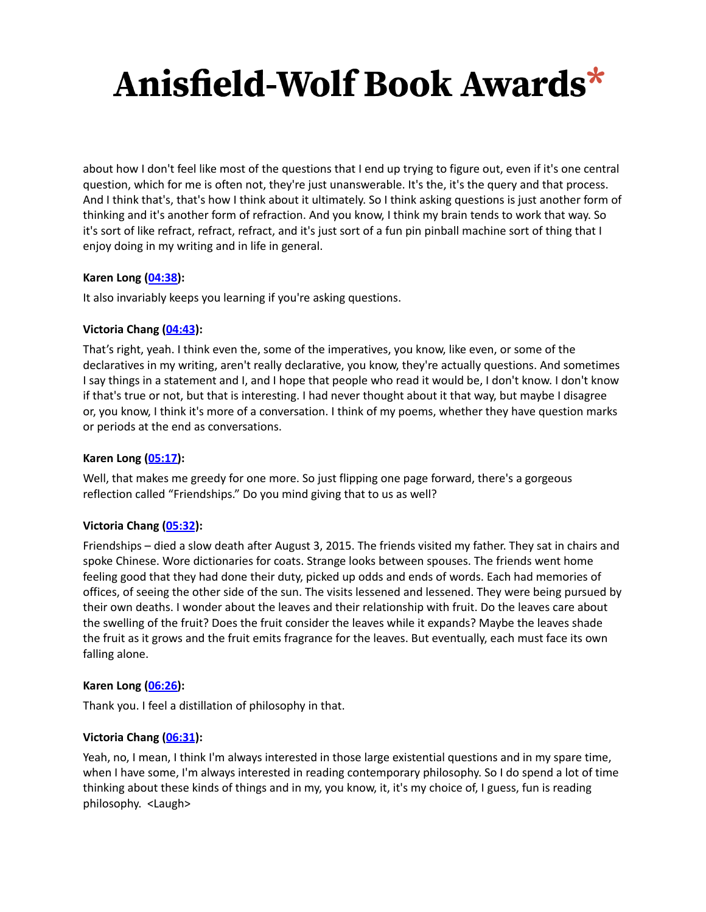about how I don't feel like most of the questions that I end up trying to figure out, even if it's one central question, which for me is often not, they're just unanswerable. It's the, it's the query and that process. And I think that's, that's how I think about it ultimately. So I think asking questions is just another form of thinking and it's another form of refraction. And you know, I think my brain tends to work that way. So it's sort of like refract, refract, refract, and it's just sort of a fun pin pinball machine sort of thing that I enjoy doing in my writing and in life in general.

### **Karen Long ([04:38\)](https://www.rev.com/transcript-editor/Edit?token=in41ddQ3mwMSV5TY5k1bU0NAr2kvQeb813BcRO-aZWmcWV-dKOdLOOfCvqXtflgBofU-vQ8dsyOJFn_lzBUZTdmLb-k&loadFrom=DocumentDeeplink&ts=278.35):**

It also invariably keeps you learning if you're asking questions.

### **Victoria Chang [\(04:43](https://www.rev.com/transcript-editor/Edit?token=Gm55q9F3dJ78LpnxnuXoq9v9YC5iOkypNsQHQUUM_gCS-JO88o3biE7nGz6doyUoYM_N9wLHIjMq-wakLCMAM7BHEPA&loadFrom=DocumentDeeplink&ts=283.41)):**

That's right, yeah. I think even the, some of the imperatives, you know, like even, or some of the declaratives in my writing, aren't really declarative, you know, they're actually questions. And sometimes I say things in a statement and I, and I hope that people who read it would be, I don't know. I don't know if that's true or not, but that is interesting. I had never thought about it that way, but maybe I disagree or, you know, I think it's more of a conversation. I think of my poems, whether they have question marks or periods at the end as conversations.

### **Karen Long ([05:17\)](https://www.rev.com/transcript-editor/Edit?token=-ugG-rAvSIiK3g9Y6t9B7eTCzoWxaJUSlkQ2bayKJurVesblKb5YsiugqooL5Tewdp3qe8Xf-YroOp6bdrl6MtXRRvY&loadFrom=DocumentDeeplink&ts=317.66):**

Well, that makes me greedy for one more. So just flipping one page forward, there's a gorgeous reflection called "Friendships." Do you mind giving that to us as well?

#### **Victoria Chang [\(05:32](https://www.rev.com/transcript-editor/Edit?token=K5fgKQg9IAXMfWYHIrM-4GV1FQJWwoAe9X_shxRDiHlYVhFN6NaplmZdWS2OymK0dkOWQ7wHYaAzhhzkxo_5CedHfqs&loadFrom=DocumentDeeplink&ts=332.81)):**

Friendships – died a slow death after August 3, 2015. The friends visited my father. They sat in chairs and spoke Chinese. Wore dictionaries for coats. Strange looks between spouses. The friends went home feeling good that they had done their duty, picked up odds and ends of words. Each had memories of offices, of seeing the other side of the sun. The visits lessened and lessened. They were being pursued by their own deaths. I wonder about the leaves and their relationship with fruit. Do the leaves care about the swelling of the fruit? Does the fruit consider the leaves while it expands? Maybe the leaves shade the fruit as it grows and the fruit emits fragrance for the leaves. But eventually, each must face its own falling alone.

#### **Karen Long ([06:26\)](https://www.rev.com/transcript-editor/Edit?token=_-mBJVdYlZW4EJclBeYjiiXGYiXWG7emRmxqBcXtek_mgrgK5NPVAExh0gLCRbDXPG8mr8k6ZjzLY41c3sqPEu1kAe8&loadFrom=DocumentDeeplink&ts=386.68):**

Thank you. I feel a distillation of philosophy in that.

#### **Victoria Chang [\(06:31](https://www.rev.com/transcript-editor/Edit?token=ciYtvX9zPdcYwmrkMogtmYMzAvJbJjqaWfZDPgBNigvTpcBG_iUz7wd4I9-n3dlu73X8b2eme88Zt3eSO_L8h-7EFvI&loadFrom=DocumentDeeplink&ts=391.7)):**

Yeah, no, I mean, I think I'm always interested in those large existential questions and in my spare time, when I have some, I'm always interested in reading contemporary philosophy. So I do spend a lot of time thinking about these kinds of things and in my, you know, it, it's my choice of, I guess, fun is reading philosophy. <Laugh>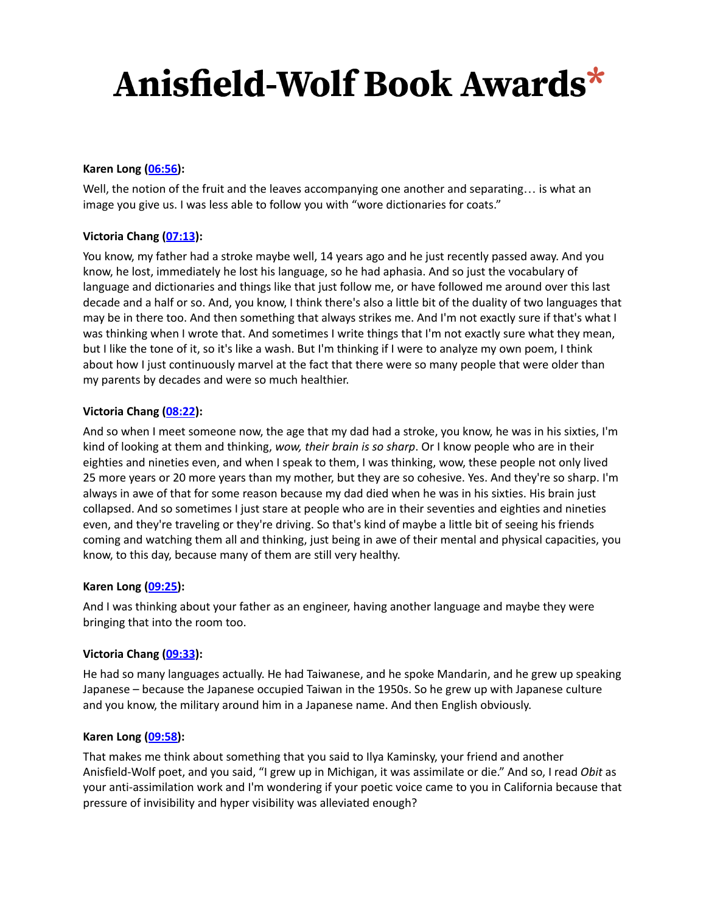### **Karen Long ([06:56\)](https://www.rev.com/transcript-editor/Edit?token=QBCs5oQ0080l8TlW4ZS1fB6LR0zDSLylPQmPNsMBHmKcZqOscx6ump6Pmb8_hvJb5uW39niVLbh2wId-GYrx_53vRTc&loadFrom=DocumentDeeplink&ts=416.839):**

Well, the notion of the fruit and the leaves accompanying one another and separating… is what an image you give us. I was less able to follow you with "wore dictionaries for coats."

### **Victoria Chang [\(07:13](https://www.rev.com/transcript-editor/Edit?token=TAGeWC_NhdBj-yib8ysWKHaqWMDGTwwmh9M-EyUbmcxkNCfylTHOOyIZyY-hOvikh210I2Q6xQI7POF3upxbGAuZJBc&loadFrom=DocumentDeeplink&ts=433.28)):**

You know, my father had a stroke maybe well, 14 years ago and he just recently passed away. And you know, he lost, immediately he lost his language, so he had aphasia. And so just the vocabulary of language and dictionaries and things like that just follow me, or have followed me around over this last decade and a half or so. And, you know, I think there's also a little bit of the duality of two languages that may be in there too. And then something that always strikes me. And I'm not exactly sure if that's what I was thinking when I wrote that. And sometimes I write things that I'm not exactly sure what they mean, but I like the tone of it, so it's like a wash. But I'm thinking if I were to analyze my own poem, I think about how I just continuously marvel at the fact that there were so many people that were older than my parents by decades and were so much healthier.

### **Victoria Chang [\(08:22](https://www.rev.com/transcript-editor/Edit?token=ZgCAAGApoTPPJnKdqapF6Bb9WtfPXIPpMtMVQuh5xBSTHdyCqQCZ6S9U8Qw04cBI7hWTNz0sfk-TyW79XqWbMaX4IlQ&loadFrom=DocumentDeeplink&ts=502.53)):**

And so when I meet someone now, the age that my dad had a stroke, you know, he was in his sixties, I'm kind of looking at them and thinking, *wow, their brain is so sharp*. Or I know people who are in their eighties and nineties even, and when I speak to them, I was thinking, wow, these people not only lived 25 more years or 20 more years than my mother, but they are so cohesive. Yes. And they're so sharp. I'm always in awe of that for some reason because my dad died when he was in his sixties. His brain just collapsed. And so sometimes I just stare at people who are in their seventies and eighties and nineties even, and they're traveling or they're driving. So that's kind of maybe a little bit of seeing his friends coming and watching them all and thinking, just being in awe of their mental and physical capacities, you know, to this day, because many of them are still very healthy.

#### **Karen Long ([09:25\)](https://www.rev.com/transcript-editor/Edit?token=wH_X6XdKIehi0EeHeGUgRCZZAgMqXJxWQWxYfCs321rQfXVFjAiOPRNTxUT1kTFelswSeBB57XuGtz-X6lNpyTiGQgA&loadFrom=DocumentDeeplink&ts=565.309):**

And I was thinking about your father as an engineer, having another language and maybe they were bringing that into the room too.

#### **Victoria Chang [\(09:33](https://www.rev.com/transcript-editor/Edit?token=OMyWwjC2oiz9SAHXHcSkouWyLSondAvgJHb1atR7snLleCNIHxPd9l7EhL4EZtgTSDMC3Z4HUI_hY4UYU8kDXqFesaU&loadFrom=DocumentDeeplink&ts=573.65)):**

He had so many languages actually. He had Taiwanese, and he spoke Mandarin, and he grew up speaking Japanese – because the Japanese occupied Taiwan in the 1950s. So he grew up with Japanese culture and you know, the military around him in a Japanese name. And then English obviously.

#### **Karen Long ([09:58\)](https://www.rev.com/transcript-editor/Edit?token=KG9c7HzrzHlKXXhUyr6zHVXCjkPTAVHVETGVhOuYXD8jwOVFbMXNRxi7ZRNgm9n7WjphykJi1UTHsmtar2sRtDiqWLM&loadFrom=DocumentDeeplink&ts=598.51):**

That makes me think about something that you said to Ilya Kaminsky, your friend and another Anisfield-Wolf poet, and you said, "I grew up in Michigan, it was assimilate or die." And so, I read *Obit* as your anti-assimilation work and I'm wondering if your poetic voice came to you in California because that pressure of invisibility and hyper visibility was alleviated enough?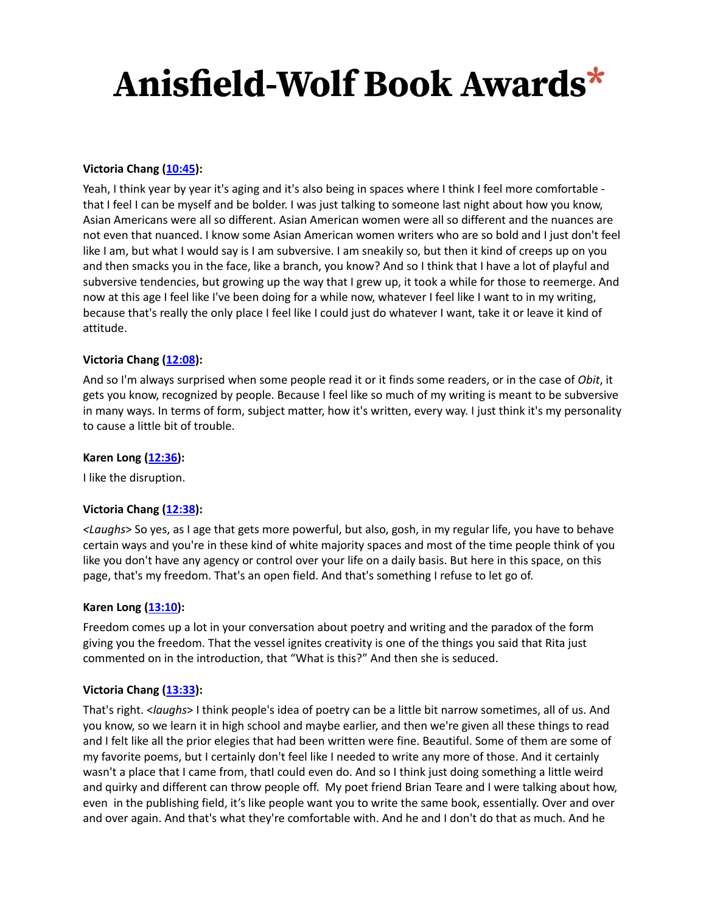### **Victoria Chang [\(10:45](https://www.rev.com/transcript-editor/Edit?token=eaCNbr873yhFX21dADbUWayBjaz7xjhTXkq9z3IPGnu8wK9PpMcsbMrRMeJsVM285JtgD6wUio88cRBw2IE39EZeefA&loadFrom=DocumentDeeplink&ts=645.88)):**

Yeah, I think year by year it's aging and it's also being in spaces where I think I feel more comfortable that I feel I can be myself and be bolder. I was just talking to someone last night about how you know, Asian Americans were all so different. Asian American women were all so different and the nuances are not even that nuanced. I know some Asian American women writers who are so bold and I just don't feel like I am, but what I would say is I am subversive. I am sneakily so, but then it kind of creeps up on you and then smacks you in the face, like a branch, you know? And so I think that I have a lot of playful and subversive tendencies, but growing up the way that I grew up, it took a while for those to reemerge. And now at this age I feel like I've been doing for a while now, whatever I feel like I want to in my writing, because that's really the only place I feel like I could just do whatever I want, take it or leave it kind of attitude.

### **Victoria Chang [\(12:08](https://www.rev.com/transcript-editor/Edit?token=EfIZY8_mWGw9dWT0Y6WVwOFyNI5DqAe7WPQD0fAKVN2IQhwEKlCopUG-o57hLkRZiMTPm3LL8zhx9j2Ea4zQraCtIRM&loadFrom=DocumentDeeplink&ts=728.6)):**

And so I'm always surprised when some people read it or it finds some readers, or in the case of *Obit*, it gets you know, recognized by people. Because I feel like so much of my writing is meant to be subversive in many ways. In terms of form, subject matter, how it's written, every way. I just think it's my personality to cause a little bit of trouble.

#### **Karen Long ([12:36\)](https://www.rev.com/transcript-editor/Edit?token=-w4nLvNThttbC2KZcfiSrWP3UUn-d1NlLcw84xj5vppd760rU9G3ZKvJtRCEL-vnhLk0VjzlghkX_Jp0XzbBEQGUrIU&loadFrom=DocumentDeeplink&ts=756.5):**

I like the disruption.

#### **Victoria Chang [\(12:38](https://www.rev.com/transcript-editor/Edit?token=jPf9KvZDrV-XaRbPoSHn_31-INcm8Y_wD2-OcXAl3Yvf1n3E-PolZbLM-z4-S07zSnRQOlpDyRF-T40-voZkgJsrgy0&loadFrom=DocumentDeeplink&ts=758.059)):**

*<Laughs*> So yes, as I age that gets more powerful, but also, gosh, in my regular life, you have to behave certain ways and you're in these kind of white majority spaces and most of the time people think of you like you don't have any agency or control over your life on a daily basis. But here in this space, on this page, that's my freedom. That's an open field. And that's something I refuse to let go of.

#### **Karen Long ([13:10\)](https://www.rev.com/transcript-editor/Edit?token=QJj9zWCKkTsx4Lh5RRlAhHSXYA6Gm47u9SWAUXwG06FoR5ekXmiCPZZ9bBS8EFOrRZGKu7UQYG9yIj9HbSFNObmjcYc&loadFrom=DocumentDeeplink&ts=790.35):**

Freedom comes up a lot in your conversation about poetry and writing and the paradox of the form giving you the freedom. That the vessel ignites creativity is one of the things you said that Rita just commented on in the introduction, that "What is this?" And then she is seduced.

#### **Victoria Chang [\(13:33](https://www.rev.com/transcript-editor/Edit?token=wVtu6Qs-luLxrcIFPEUSlKm26_ZC3mxsBMKg4qrr3KCqYLCO1RY0tzmshcSLBnqorbIjqvZBt8s3SjqDBkRXZuYa6xs&loadFrom=DocumentDeeplink&ts=813.53)):**

That's right. <*laughs*> I think people's idea of poetry can be a little bit narrow sometimes, all of us. And you know, so we learn it in high school and maybe earlier, and then we're given all these things to read and I felt like all the prior elegies that had been written were fine. Beautiful. Some of them are some of my favorite poems, but I certainly don't feel like I needed to write any more of those. And it certainly wasn't a place that I came from, thatI could even do. And so I think just doing something a little weird and quirky and different can throw people off. My poet friend Brian Teare and I were talking about how, even in the publishing field, it's like people want you to write the same book, essentially. Over and over and over again. And that's what they're comfortable with. And he and I don't do that as much. And he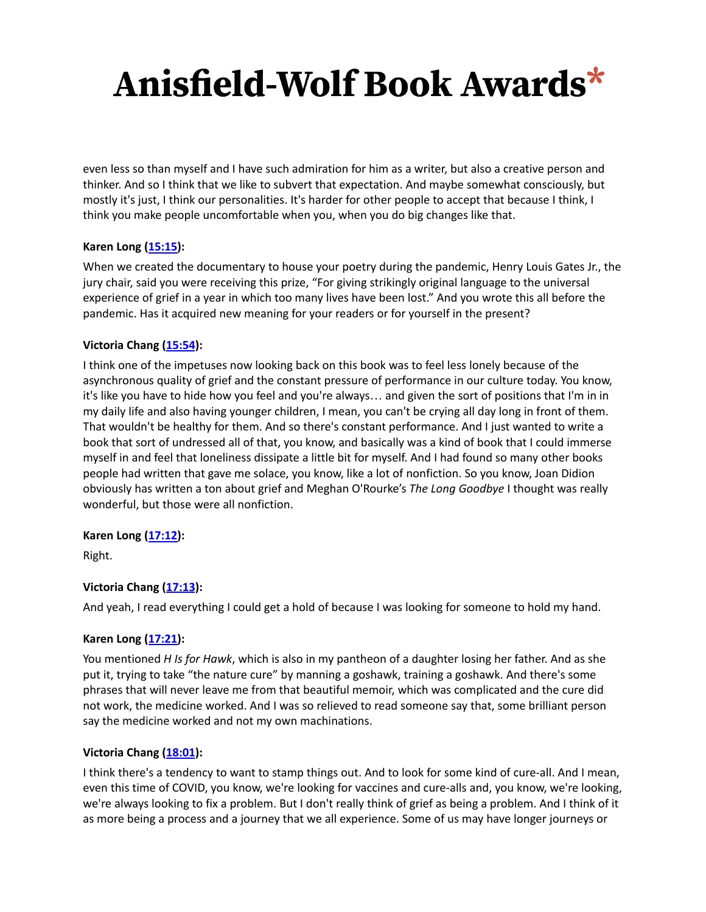even less so than myself and I have such admiration for him as a writer, but also a creative person and thinker. And so I think that we like to subvert that expectation. And maybe somewhat consciously, but mostly it's just, I think our personalities. It's harder for other people to accept that because I think, I think you make people uncomfortable when you, when you do big changes like that.

### **Karen Long ([15:15\)](https://www.rev.com/transcript-editor/Edit?token=4Gy3SeGayT3KzFGrg6vwLmwzYxDRXXauwMTNHUVPwPKgBdOifrDrkLdy5E-1aLLZELVk1hcx9v5iuTaGnViRmzjzz7g&loadFrom=DocumentDeeplink&ts=915.53):**

When we created the documentary to house your poetry during the pandemic, Henry Louis Gates Jr., the jury chair, said you were receiving this prize, "For giving strikingly original language to the universal experience of grief in a year in which too many lives have been lost." And you wrote this all before the pandemic. Has it acquired new meaning for your readers or for yourself in the present?

#### **Victoria Chang [\(15:54](https://www.rev.com/transcript-editor/Edit?token=mMG_FjXs-zVLIY_2H9UPP2F8jv4DvwiRvckYjSXHRDi9rab0GpdVEAisxwdLyaXPSyvNPOUlOb55_vE45hiydyVMC3E&loadFrom=DocumentDeeplink&ts=954.38)):**

I think one of the impetuses now looking back on this book was to feel less lonely because of the asynchronous quality of grief and the constant pressure of performance in our culture today. You know, it's like you have to hide how you feel and you're always… and given the sort of positions that I'm in in my daily life and also having younger children, I mean, you can't be crying all day long in front of them. That wouldn't be healthy for them. And so there's constant performance. And I just wanted to write a book that sort of undressed all of that, you know, and basically was a kind of book that I could immerse myself in and feel that loneliness dissipate a little bit for myself. And I had found so many other books people had written that gave me solace, you know, like a lot of nonfiction. So you know, Joan Didion obviously has written a ton about grief and Meghan O'Rourke's *The Long Goodbye* I thought was really wonderful, but those were all nonfiction.

#### **Karen Long ([17:12\)](https://www.rev.com/transcript-editor/Edit?token=5JamQBRCBEzaz3UnIA1H1v4n3sAKdPBDCIjYexyFZlHVSMtKSxnZpKjIdglE0sg2ophLGdSp3UFRGC5Cw187_2ZLSf0&loadFrom=DocumentDeeplink&ts=1032.68):**

Right.

## **Victoria Chang [\(17:13](https://www.rev.com/transcript-editor/Edit?token=ez47xavSqD7R-VxJov8Cj5bBQ8FOWZFhEcXLF6FVJd_7tLn5L12neJGHJ5PmufK41-pnWY7SkmSKBeWssNENOPnK8DQ&loadFrom=DocumentDeeplink&ts=1033.65)):**

And yeah, I read everything I could get a hold of because I was looking for someone to hold my hand.

#### **Karen Long ([17:21\)](https://www.rev.com/transcript-editor/Edit?token=HnChfMRDxGBXFPaclyB6mhFAtYVuWhAnz617CCKjaN1kj3ozuT4Lzi3dH8xDzOj9HiJ1VmIW6VxL64SfqsypDO7Fy7Q&loadFrom=DocumentDeeplink&ts=1041.85):**

You mentioned *H Is for Hawk*, which is also in my pantheon of a daughter losing her father. And as she put it, trying to take "the nature cure" by manning a goshawk, training a goshawk. And there's some phrases that will never leave me from that beautiful memoir, which was complicated and the cure did not work, the medicine worked. And I was so relieved to read someone say that, some brilliant person say the medicine worked and not my own machinations.

#### **Victoria Chang [\(18:01](https://www.rev.com/transcript-editor/Edit?token=8vyUmf-KGUbg2E6QCOgBPZIeEgbyzH4imQKJESRRwpJYkUbpRFNubK2Ny3kLE9CqBg8FunZkwDhnrT7l4MwQq0gG5Z4&loadFrom=DocumentDeeplink&ts=1081.35)):**

I think there's a tendency to want to stamp things out. And to look for some kind of cure-all. And I mean, even this time of COVID, you know, we're looking for vaccines and cure-alls and, you know, we're looking, we're always looking to fix a problem. But I don't really think of grief as being a problem. And I think of it as more being a process and a journey that we all experience. Some of us may have longer journeys or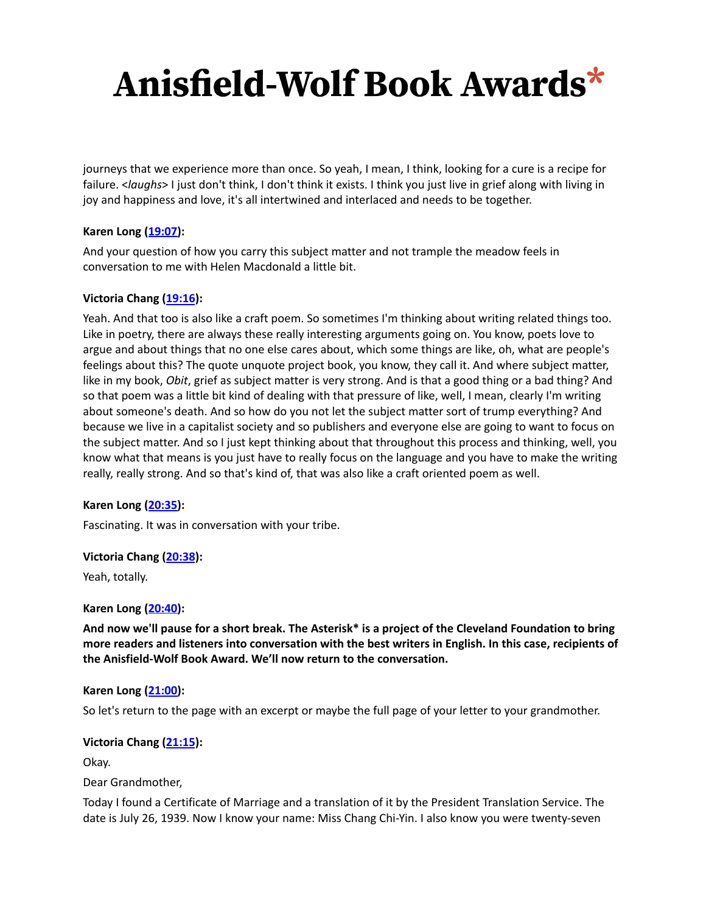journeys that we experience more than once. So yeah, I mean, I think, looking for a cure is a recipe for failure. <*laughs*> I just don't think, I don't think it exists. I think you just live in grief along with living in joy and happiness and love, it's all intertwined and interlaced and needs to be together.

### **Karen Long ([19:07\)](https://www.rev.com/transcript-editor/Edit?token=OjHnNsDhWSs6jpFchqA5SFkMkjFhDzMNfgPtmPg1d_tTSlqRuXcqmAF9f27asoakxce4Ft3QSGkb71jWZ96FZg4169Q&loadFrom=DocumentDeeplink&ts=1147.18):**

And your question of how you carry this subject matter and not trample the meadow feels in conversation to me with Helen Macdonald a little bit.

## **Victoria Chang [\(19:16](https://www.rev.com/transcript-editor/Edit?token=b5VDvVbOlDr5tysBLwbLa_970-zjA1GctDzLMUOQyLYHTEXfB04YpZfUhny9sXcFh5spsuebbWKuRFiEhn2DALffc7w&loadFrom=DocumentDeeplink&ts=1156.619)):**

Yeah. And that too is also like a craft poem. So sometimes I'm thinking about writing related things too. Like in poetry, there are always these really interesting arguments going on. You know, poets love to argue and about things that no one else cares about, which some things are like, oh, what are people's feelings about this? The quote unquote project book, you know, they call it. And where subject matter, like in my book, *Obit*, grief as subject matter is very strong. And is that a good thing or a bad thing? And so that poem was a little bit kind of dealing with that pressure of like, well, I mean, clearly I'm writing about someone's death. And so how do you not let the subject matter sort of trump everything? And because we live in a capitalist society and so publishers and everyone else are going to want to focus on the subject matter. And so I just kept thinking about that throughout this process and thinking, well, you know what that means is you just have to really focus on the language and you have to make the writing really, really strong. And so that's kind of, that was also like a craft oriented poem as well.

#### **Karen Long ([20:35\)](https://www.rev.com/transcript-editor/Edit?token=jX3jdV1v6u3n_MyXICXr3zoIOYFdflgS9B4EDKG06vzPGHNn0hKINExRW4DVVwjdQh0H0jiigYj4ypL2zqZkjqhA3e0&loadFrom=DocumentDeeplink&ts=1235.3):**

Fascinating. It was in conversation with your tribe.

#### **Victoria Chang [\(20:38](https://www.rev.com/transcript-editor/Edit?token=0RjuZJTmkdPcJ8N0NFfRIzhJPL2gMlXz24w9t_3jgb_Bcl36rilyv8S7CHj_PrQsnsk0PFsau-_4CWm0Paeog9nRq7o&loadFrom=DocumentDeeplink&ts=1238.46)):**

Yeah, totally.

#### **Karen Long ([20:40\)](https://www.rev.com/transcript-editor/Edit?token=cBjJwcpRIU_17zCX9WagGIVILeyQL5ZxBiyeLlZSQPJ6X-507YL912G01A__iIxI3dXbA5RtqJ6jnQYbmBx3ObTPqRA&loadFrom=DocumentDeeplink&ts=1240.51):**

And now we'll pause for a short break. The Asterisk\* is a project of the Cleveland Foundation to bring more readers and listeners into conversation with the best writers in English. In this case, recipients of **the Anisfield-Wolf Book Award. We'll now return to the conversation.**

#### **Karen Long ([21:00\)](https://www.rev.com/transcript-editor/Edit?token=cBjJwcpRIU_17zCX9WagGIVILeyQL5ZxBiyeLlZSQPJ6X-507YL912G01A__iIxI3dXbA5RtqJ6jnQYbmBx3ObTPqRA&loadFrom=DocumentDeeplink&ts=1240.51):**

So let's return to the page with an excerpt or maybe the full page of your letter to your grandmother.

#### **Victoria Chang [\(21:15](https://www.rev.com/transcript-editor/Edit?token=iznzY_HA5lO2Xx3ZOMKflCk1-L403PaL06lYJL0muP1Ik0V-NP8_SYnKKgMmW84s9dODY86cei0KIkHSvg9_31Gm5u4&loadFrom=DocumentDeeplink&ts=1275.33)):**

Okay.

Dear Grandmother,

Today I found a Certificate of Marriage and a translation of it by the President Translation Service. The date is July 26, 1939. Now I know your name: Miss Chang Chi-Yin. I also know you were twenty-seven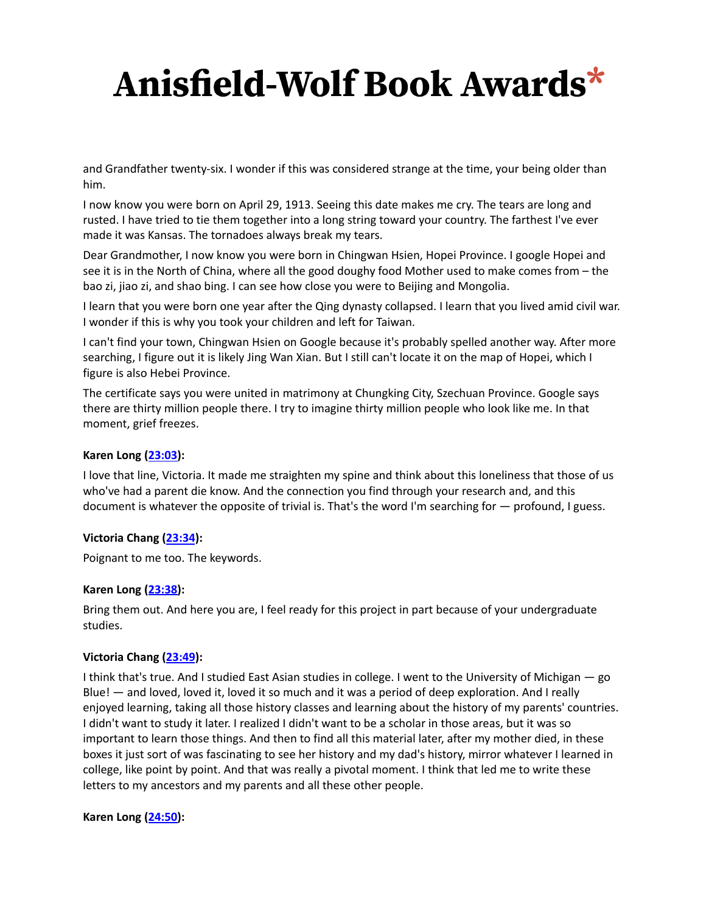and Grandfather twenty-six. I wonder if this was considered strange at the time, your being older than him.

I now know you were born on April 29, 1913. Seeing this date makes me cry. The tears are long and rusted. I have tried to tie them together into a long string toward your country. The farthest I've ever made it was Kansas. The tornadoes always break my tears.

Dear Grandmother, I now know you were born in Chingwan Hsien, Hopei Province. I google Hopei and see it is in the North of China, where all the good doughy food Mother used to make comes from – the bao zi, jiao zi, and shao bing. I can see how close you were to Beijing and Mongolia.

I learn that you were born one year after the Qing dynasty collapsed. I learn that you lived amid civil war. I wonder if this is why you took your children and left for Taiwan.

I can't find your town, Chingwan Hsien on Google because it's probably spelled another way. After more searching, I figure out it is likely Jing Wan Xian. But I still can't locate it on the map of Hopei, which I figure is also Hebei Province.

The certificate says you were united in matrimony at Chungking City, Szechuan Province. Google says there are thirty million people there. I try to imagine thirty million people who look like me. In that moment, grief freezes.

### **Karen Long ([23:03\)](https://www.rev.com/transcript-editor/Edit?token=zg6KDdKQHabT4nudtXGHtScxiWYSJ2Z_maojdRYct6JFNKv-sM8uvnBrjS8crR-kkpdb25i8L8SZYreJZCA3KgAZo2Q&loadFrom=DocumentDeeplink&ts=1383.3):**

I love that line, Victoria. It made me straighten my spine and think about this loneliness that those of us who've had a parent die know. And the connection you find through your research and, and this document is whatever the opposite of trivial is. That's the word I'm searching for — profound, I guess.

#### **Victoria Chang [\(23:34](https://www.rev.com/transcript-editor/Edit?token=iF5f6TkArcUIR3nrHvpR4FIiDKLrMr4LkuT7O9ZpxHq1EKltzV2kOojCxnPfIhhyOdovy0A4v_ImY8YH0uLRglEIK9E&loadFrom=DocumentDeeplink&ts=1414.55)):**

Poignant to me too. The keywords.

#### **Karen Long ([23:38\)](https://www.rev.com/transcript-editor/Edit?token=hDzy8Qz9tAEexIAded6ybHD4EkkbWfRuHbCZk6psbX27wMy6WoawbUou2yEPHJg9KKhFgOQaU64UuYyvPrnp_40Ts6c&loadFrom=DocumentDeeplink&ts=1418.31):**

Bring them out. And here you are, I feel ready for this project in part because of your undergraduate studies.

#### **Victoria Chang [\(23:49](https://www.rev.com/transcript-editor/Edit?token=e2fXA0yfQtdFSewjwW6w2Dnc3AZH7R8es3dX6vPIzMauoFkIM67wFDnF6dLsdyXzDVGvEQBJ7O5X_h4Md8VtgxGP4Gw&loadFrom=DocumentDeeplink&ts=1429.56)):**

I think that's true. And I studied East Asian studies in college. I went to the University of Michigan — go Blue! — and loved, loved it, loved it so much and it was a period of deep exploration. And I really enjoyed learning, taking all those history classes and learning about the history of my parents' countries. I didn't want to study it later. I realized I didn't want to be a scholar in those areas, but it was so important to learn those things. And then to find all this material later, after my mother died, in these boxes it just sort of was fascinating to see her history and my dad's history, mirror whatever I learned in college, like point by point. And that was really a pivotal moment. I think that led me to write these letters to my ancestors and my parents and all these other people.

#### **Karen Long ([24:50\)](https://www.rev.com/transcript-editor/Edit?token=ecT2IotAFfkPycQoX3qCA1Co98_tANHXoi1YEWEHDO0Dfo8Ryb9j-6B9fFe-y75YR9uiu7_hUWpFJjJZQBOAvksaf2Q&loadFrom=DocumentDeeplink&ts=1490.25):**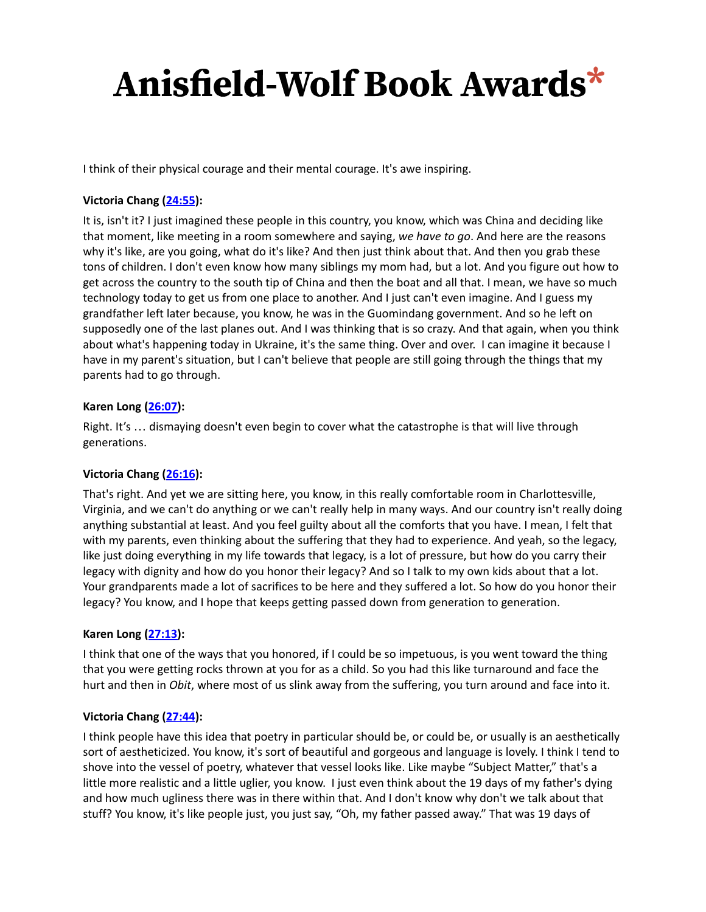I think of their physical courage and their mental courage. It's awe inspiring.

## **Victoria Chang [\(24:55](https://www.rev.com/transcript-editor/Edit?token=zZEq30wgUqkDDTH2F-MfOrmXIQuIT_kJfLWHuC52myGJgq00BxDkS4sDW7ewGAcwHimh4ZmKMN6bRCkpQw41rt8Eo9g&loadFrom=DocumentDeeplink&ts=1495.99)):**

It is, isn't it? I just imagined these people in this country, you know, which was China and deciding like that moment, like meeting in a room somewhere and saying, *we have to go*. And here are the reasons why it's like, are you going, what do it's like? And then just think about that. And then you grab these tons of children. I don't even know how many siblings my mom had, but a lot. And you figure out how to get across the country to the south tip of China and then the boat and all that. I mean, we have so much technology today to get us from one place to another. And I just can't even imagine. And I guess my grandfather left later because, you know, he was in the Guomindang government. And so he left on supposedly one of the last planes out. And I was thinking that is so crazy. And that again, when you think about what's happening today in Ukraine, it's the same thing. Over and over. I can imagine it because I have in my parent's situation, but I can't believe that people are still going through the things that my parents had to go through.

#### **Karen Long ([26:07\)](https://www.rev.com/transcript-editor/Edit?token=fXW9hHmGDAdET3nSnQ3URmwP8feO7Utw94rLqbX36WIQ7c109RBYtGmR0--e59p3MwkypcMbHrHxk5tKxdtsbwexc9c&loadFrom=DocumentDeeplink&ts=1567.06):**

Right. It's … dismaying doesn't even begin to cover what the catastrophe is that will live through generations.

## **Victoria Chang [\(26:16](https://www.rev.com/transcript-editor/Edit?token=hoAgIH294rwVfk5cwsRUVWVP5s7CoAzSwimR4ECm6R_ZFV50rzwudLPMqNifRhy9zFVI-OtDEwYsI17dvm7nZy4N-2E&loadFrom=DocumentDeeplink&ts=1576.14)):**

That's right. And yet we are sitting here, you know, in this really comfortable room in Charlottesville, Virginia, and we can't do anything or we can't really help in many ways. And our country isn't really doing anything substantial at least. And you feel guilty about all the comforts that you have. I mean, I felt that with my parents, even thinking about the suffering that they had to experience. And yeah, so the legacy, like just doing everything in my life towards that legacy, is a lot of pressure, but how do you carry their legacy with dignity and how do you honor their legacy? And so I talk to my own kids about that a lot. Your grandparents made a lot of sacrifices to be here and they suffered a lot. So how do you honor their legacy? You know, and I hope that keeps getting passed down from generation to generation.

#### **Karen Long ([27:13\)](https://www.rev.com/transcript-editor/Edit?token=-nIDEvl9GraMLI8_-siyuvO9-rgmyLWq5mJtGr41N_wGV-Lj_GsfY2DBE3dDv3YH-TjKOnRjfiCHINcz0AoJWzLbCaM&loadFrom=DocumentDeeplink&ts=1633.71):**

I think that one of the ways that you honored, if I could be so impetuous, is you went toward the thing that you were getting rocks thrown at you for as a child. So you had this like turnaround and face the hurt and then in *Obit*, where most of us slink away from the suffering, you turn around and face into it.

## **Victoria Chang [\(27:44](https://www.rev.com/transcript-editor/Edit?token=TUzHRuYVdmGFvpKRATvgRxMOiwr7FLQhpU8iK3C2zIs0b72HAxVVUjsmdoAA84dnisALK64XILRs8sBvUoQ9DmkfCa0&loadFrom=DocumentDeeplink&ts=1664.83)):**

I think people have this idea that poetry in particular should be, or could be, or usually is an aesthetically sort of aestheticized. You know, it's sort of beautiful and gorgeous and language is lovely. I think I tend to shove into the vessel of poetry, whatever that vessel looks like. Like maybe "Subject Matter," that's a little more realistic and a little uglier, you know. I just even think about the 19 days of my father's dying and how much ugliness there was in there within that. And I don't know why don't we talk about that stuff? You know, it's like people just, you just say, "Oh, my father passed away." That was 19 days of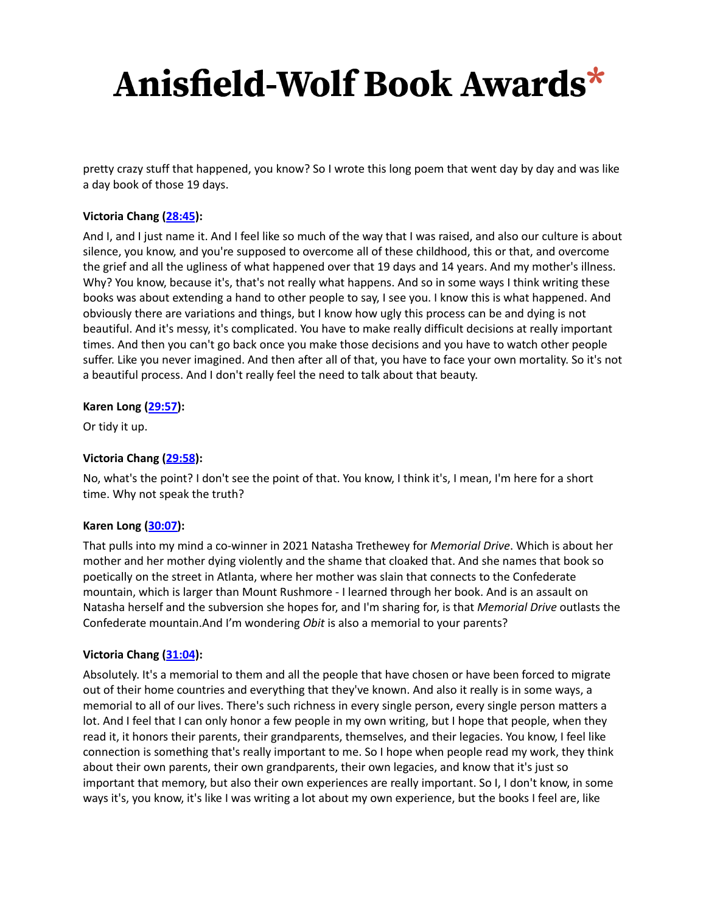pretty crazy stuff that happened, you know? So I wrote this long poem that went day by day and was like a day book of those 19 days.

## **Victoria Chang [\(28:45](https://www.rev.com/transcript-editor/Edit?token=v9DtEzVM5RKekNelx-Ct2XvawLPbgKWQUPENpeTfNPbGleMyIrVMrOVjrCejY_jCDWRvXR9NTJEJavqSB-hbY7gdbIo&loadFrom=DocumentDeeplink&ts=1725)):**

And I, and I just name it. And I feel like so much of the way that I was raised, and also our culture is about silence, you know, and you're supposed to overcome all of these childhood, this or that, and overcome the grief and all the ugliness of what happened over that 19 days and 14 years. And my mother's illness. Why? You know, because it's, that's not really what happens. And so in some ways I think writing these books was about extending a hand to other people to say, I see you. I know this is what happened. And obviously there are variations and things, but I know how ugly this process can be and dying is not beautiful. And it's messy, it's complicated. You have to make really difficult decisions at really important times. And then you can't go back once you make those decisions and you have to watch other people suffer. Like you never imagined. And then after all of that, you have to face your own mortality. So it's not a beautiful process. And I don't really feel the need to talk about that beauty.

#### **Karen Long ([29:57\)](https://www.rev.com/transcript-editor/Edit?token=gRV6d2ePsNdccw7AfXWtQdKiX5b21iGA76066AqGt1NihaQMhldfp_icN2hbM16vbVAssExYJ_35-6BWkTEFW73yiq8&loadFrom=DocumentDeeplink&ts=1797.22):**

Or tidy it up.

#### **Victoria Chang [\(29:58](https://www.rev.com/transcript-editor/Edit?token=pfycuDVN9zpz2OIAb0b1DSoBLYpMZ9f8Qqp9jNEElrncjwtEzp73lr8mzsWeQoiq0gQ4KSpG7aSvNHo9uAQbDNBjMrc&loadFrom=DocumentDeeplink&ts=1798.38)):**

No, what's the point? I don't see the point of that. You know, I think it's, I mean, I'm here for a short time. Why not speak the truth?

#### **Karen Long ([30:07\)](https://www.rev.com/transcript-editor/Edit?token=-BRM499oA3lnV295YkM5PkAkV-8xPLXvi6EZBQwHjcRq_GU5iPqpnM0tQs0dijrOI1NvcTswhUJKGYEziLesQfSJVzQ&loadFrom=DocumentDeeplink&ts=1807.7):**

That pulls into my mind a co-winner in 2021 Natasha Trethewey for *Memorial Drive*. Which is about her mother and her mother dying violently and the shame that cloaked that. And she names that book so poetically on the street in Atlanta, where her mother was slain that connects to the Confederate mountain, which is larger than Mount Rushmore - I learned through her book. And is an assault on Natasha herself and the subversion she hopes for, and I'm sharing for, is that *Memorial Drive* outlasts the Confederate mountain.And I'm wondering *Obit* is also a memorial to your parents?

#### **Victoria Chang [\(31:04](https://www.rev.com/transcript-editor/Edit?token=RlYh1FGWdw_uZ3s-emaPe3uWFu-yl1o-EK-uSQdm06VfgEjaSYZ5hqNL3XrkH5FyDkBtqKIhBt47aoWrZFFTYbgVmcc&loadFrom=DocumentDeeplink&ts=1864.51)):**

Absolutely. It's a memorial to them and all the people that have chosen or have been forced to migrate out of their home countries and everything that they've known. And also it really is in some ways, a memorial to all of our lives. There's such richness in every single person, every single person matters a lot. And I feel that I can only honor a few people in my own writing, but I hope that people, when they read it, it honors their parents, their grandparents, themselves, and their legacies. You know, I feel like connection is something that's really important to me. So I hope when people read my work, they think about their own parents, their own grandparents, their own legacies, and know that it's just so important that memory, but also their own experiences are really important. So I, I don't know, in some ways it's, you know, it's like I was writing a lot about my own experience, but the books I feel are, like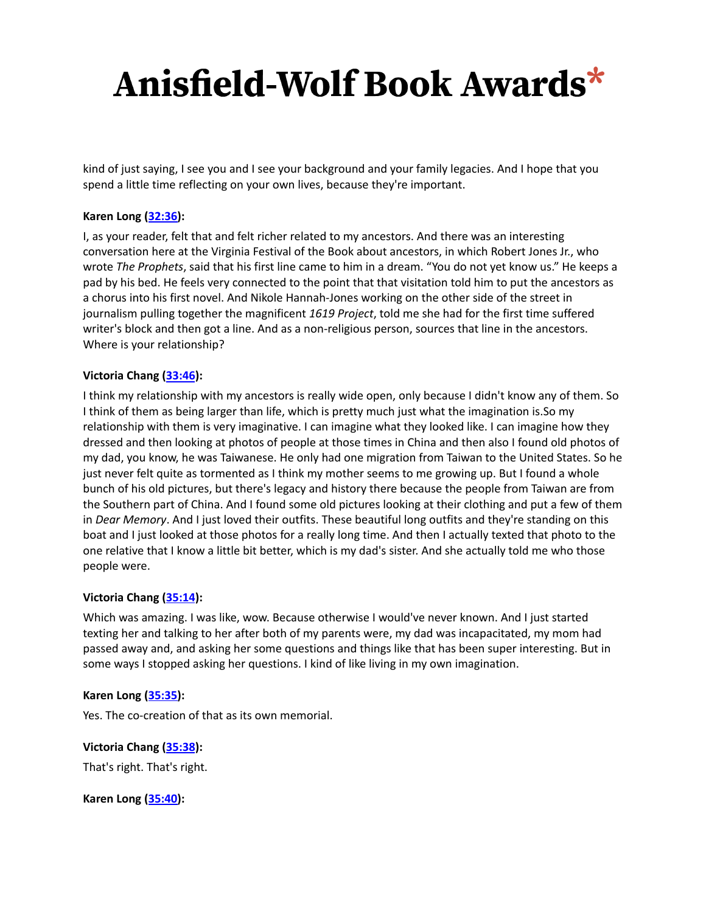kind of just saying, I see you and I see your background and your family legacies. And I hope that you spend a little time reflecting on your own lives, because they're important.

#### **Karen Long ([32:36\)](https://www.rev.com/transcript-editor/Edit?token=tqUHBb5PVyvaMZBV2LGLkbcGDSpdwn3kHCpgJIJ9hcmddQeg0R7UK3Du4yREg7KS3nxh7192b5OF0ievDLp3A5ipDmA&loadFrom=DocumentDeeplink&ts=1956.97):**

I, as your reader, felt that and felt richer related to my ancestors. And there was an interesting conversation here at the Virginia Festival of the Book about ancestors, in which Robert Jones Jr., who wrote *The Prophets*, said that his first line came to him in a dream. "You do not yet know us." He keeps a pad by his bed. He feels very connected to the point that that visitation told him to put the ancestors as a chorus into his first novel. And Nikole Hannah-Jones working on the other side of the street in journalism pulling together the magnificent *1619 Project*, told me she had for the first time suffered writer's block and then got a line. And as a non-religious person, sources that line in the ancestors. Where is your relationship?

#### **Victoria Chang [\(33:46](https://www.rev.com/transcript-editor/Edit?token=y0DnIxVErKuiWeHz0X-1mbdCon3Ecbah0O7iBOUNaqwsSMSyEu-VoBme9ebcjk3CapNLe1HsOS5WjSF8hWibMeadrhQ&loadFrom=DocumentDeeplink&ts=2026.59)):**

I think my relationship with my ancestors is really wide open, only because I didn't know any of them. So I think of them as being larger than life, which is pretty much just what the imagination is.So my relationship with them is very imaginative. I can imagine what they looked like. I can imagine how they dressed and then looking at photos of people at those times in China and then also I found old photos of my dad, you know, he was Taiwanese. He only had one migration from Taiwan to the United States. So he just never felt quite as tormented as I think my mother seems to me growing up. But I found a whole bunch of his old pictures, but there's legacy and history there because the people from Taiwan are from the Southern part of China. And I found some old pictures looking at their clothing and put a few of them in *Dear Memory*. And I just loved their outfits. These beautiful long outfits and they're standing on this boat and I just looked at those photos for a really long time. And then I actually texted that photo to the one relative that I know a little bit better, which is my dad's sister. And she actually told me who those people were.

#### **Victoria Chang [\(35:14](https://www.rev.com/transcript-editor/Edit?token=aatNKCFBameHC9z7oSHapuL1MNzy4VbiNoi5GANwutPb8jWPu0S0Ru8Q996D9bRl5jyZh38gc-cuclBmFn9PxOLl5kM&loadFrom=DocumentDeeplink&ts=2114.55)):**

Which was amazing. I was like, wow. Because otherwise I would've never known. And I just started texting her and talking to her after both of my parents were, my dad was incapacitated, my mom had passed away and, and asking her some questions and things like that has been super interesting. But in some ways I stopped asking her questions. I kind of like living in my own imagination.

#### **Karen Long ([35:35\)](https://www.rev.com/transcript-editor/Edit?token=po_8ryo0JFOEjgiSQmwEj55Nnw5mhgliN-U6IRh2_v1t8y_P5jUIyNwm7UxCHiMwQFbCombnZo-l5LJk8-MycHB8jl4&loadFrom=DocumentDeeplink&ts=2135.75):**

Yes. The co-creation of that as its own memorial.

**Victoria Chang [\(35:38](https://www.rev.com/transcript-editor/Edit?token=r6RWPQKz4nlRL8vpUVLIOqMjXM0ovGFszoguklIOUueCC5PyHH858yvRdTiiBIQrXhCWuGY6IpjYXKVnJDiPWOotML0&loadFrom=DocumentDeeplink&ts=2138.7)):** That's right. That's right.

**Karen Long ([35:40\)](https://www.rev.com/transcript-editor/Edit?token=fNa5Hx4V0liFIBEaVH9sHQqLqJk7t4GRBvVkEENeUENzXXRtGA_mT--8TuI0PxVr5ZUnDuPFRzYqInfadl5oolKDkP8&loadFrom=DocumentDeeplink&ts=2140.739):**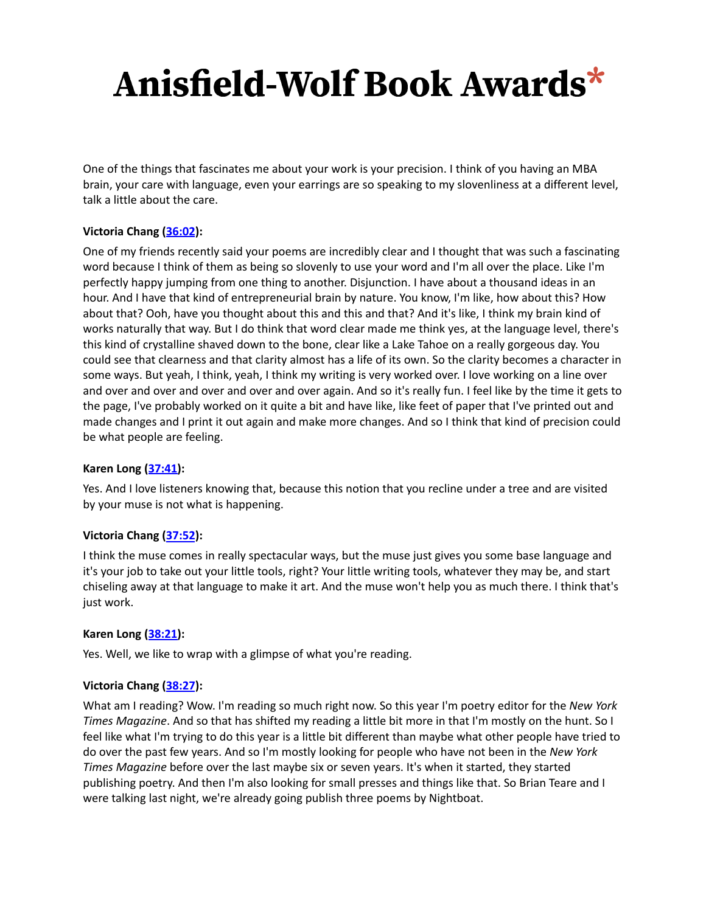One of the things that fascinates me about your work is your precision. I think of you having an MBA brain, your care with language, even your earrings are so speaking to my slovenliness at a different level, talk a little about the care.

## **Victoria Chang [\(36:02](https://www.rev.com/transcript-editor/Edit?token=HxRg47zr93A0EoTPwhmykWh9E3t9MaKpLEgRg5d35Bhoz2Icm9E8vYSL8HGeGN7yCRWJO_BFVgwXZH38bUh_ygrJeG8&loadFrom=DocumentDeeplink&ts=2162.56)):**

One of my friends recently said your poems are incredibly clear and I thought that was such a fascinating word because I think of them as being so slovenly to use your word and I'm all over the place. Like I'm perfectly happy jumping from one thing to another. Disjunction. I have about a thousand ideas in an hour. And I have that kind of entrepreneurial brain by nature. You know, I'm like, how about this? How about that? Ooh, have you thought about this and this and that? And it's like, I think my brain kind of works naturally that way. But I do think that word clear made me think yes, at the language level, there's this kind of crystalline shaved down to the bone, clear like a Lake Tahoe on a really gorgeous day. You could see that clearness and that clarity almost has a life of its own. So the clarity becomes a character in some ways. But yeah, I think, yeah, I think my writing is very worked over. I love working on a line over and over and over and over and over and over again. And so it's really fun. I feel like by the time it gets to the page, I've probably worked on it quite a bit and have like, like feet of paper that I've printed out and made changes and I print it out again and make more changes. And so I think that kind of precision could be what people are feeling.

## **Karen Long ([37:41\)](https://www.rev.com/transcript-editor/Edit?token=o_m4gQS4mzwsaRYSTBZJayZkykcLsmZ0OxjD-nL43KM4hYRS6hOu78C7IYMicpHCQ2s2FiB5-AHzYzRLbiitlbD9OrI&loadFrom=DocumentDeeplink&ts=2261.739):**

Yes. And I love listeners knowing that, because this notion that you recline under a tree and are visited by your muse is not what is happening.

## **Victoria Chang [\(37:52](https://www.rev.com/transcript-editor/Edit?token=Qt_IOmF2JZVpbr7C-3yrMRBEYLQxDQETISaY0Xyu4x2I3lmZb_1IPrAVxxfmUwjn4I8EW-90-EAPvw0iSEee5NtSNCw&loadFrom=DocumentDeeplink&ts=2272.91)):**

I think the muse comes in really spectacular ways, but the muse just gives you some base language and it's your job to take out your little tools, right? Your little writing tools, whatever they may be, and start chiseling away at that language to make it art. And the muse won't help you as much there. I think that's just work.

#### **Karen Long ([38:21\)](https://www.rev.com/transcript-editor/Edit?token=b-lcM65Zn3lO1BezU3d0qL7we7FloABq7_wldCTxS-fygY7wKZyQGcgO40xH-6EuMc-FPqRQftF-E4HAtk-H1LTsV18&loadFrom=DocumentDeeplink&ts=2301.09):**

Yes. Well, we like to wrap with a glimpse of what you're reading.

#### **Victoria Chang [\(38:27](https://www.rev.com/transcript-editor/Edit?token=d48R_Q1rqGlzOTZXgEZ7LF4y0Qqgyi5h4X7VaqvA098jJryg_2q6DgQA6IbUXCM0uSl5mza7lTip3c1zVrRX3p2XUzc&loadFrom=DocumentDeeplink&ts=2307.84)):**

What am I reading? Wow. I'm reading so much right now. So this year I'm poetry editor for the *New York Times Magazine*. And so that has shifted my reading a little bit more in that I'm mostly on the hunt. So I feel like what I'm trying to do this year is a little bit different than maybe what other people have tried to do over the past few years. And so I'm mostly looking for people who have not been in the *New York Times Magazine* before over the last maybe six or seven years. It's when it started, they started publishing poetry. And then I'm also looking for small presses and things like that. So Brian Teare and I were talking last night, we're already going publish three poems by Nightboat.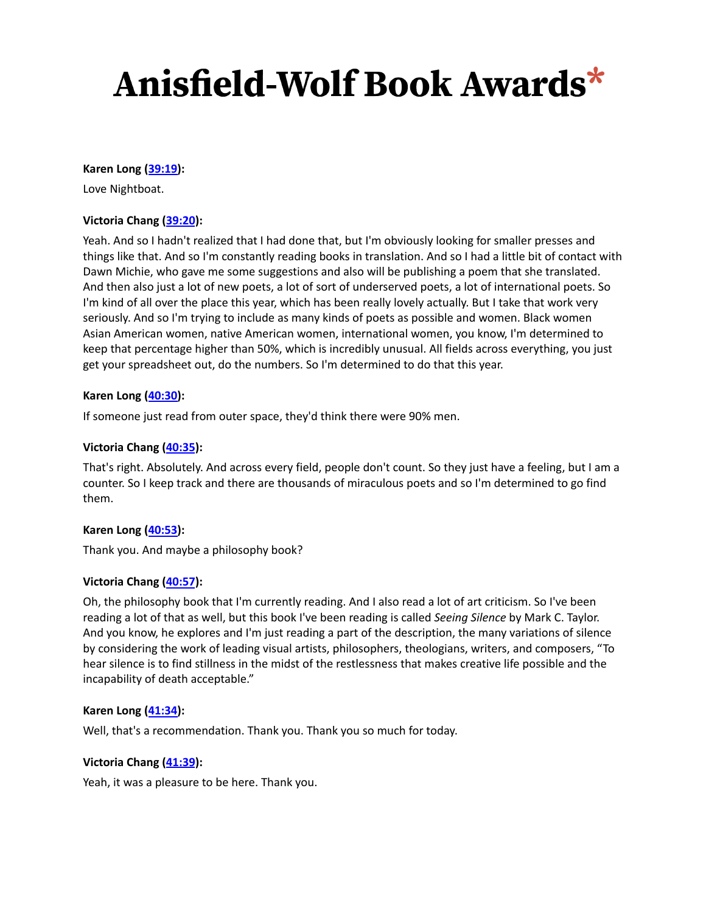#### **Karen Long ([39:19\)](https://www.rev.com/transcript-editor/Edit?token=COX5vQqzZttkNoW5pJ_sCJtj4H1sMq7RNNwkXABG4Ne97HTeP4TNwGAVllyEFtBA5ahuU8RIh3Igwk62W8dUYXfqB5c&loadFrom=DocumentDeeplink&ts=2359.1):**

Love Nightboat.

### **Victoria Chang [\(39:20](https://www.rev.com/transcript-editor/Edit?token=FiANsDS9hu625Fjwe1pTAZqAcXSgxNdkiR1P4rHKwnru3E5u5Tb05OtFhVXHVH7I0NEn1jtONeoMdjlJgyyBVoB5ItE&loadFrom=DocumentDeeplink&ts=2360.26)):**

Yeah. And so I hadn't realized that I had done that, but I'm obviously looking for smaller presses and things like that. And so I'm constantly reading books in translation. And so I had a little bit of contact with Dawn Michie, who gave me some suggestions and also will be publishing a poem that she translated. And then also just a lot of new poets, a lot of sort of underserved poets, a lot of international poets. So I'm kind of all over the place this year, which has been really lovely actually. But I take that work very seriously. And so I'm trying to include as many kinds of poets as possible and women. Black women Asian American women, native American women, international women, you know, I'm determined to keep that percentage higher than 50%, which is incredibly unusual. All fields across everything, you just get your spreadsheet out, do the numbers. So I'm determined to do that this year.

### **Karen Long ([40:30\)](https://www.rev.com/transcript-editor/Edit?token=-4I-sotzfsiPRMoLycO1dRELVkeUq2ht_-eF6VJSTpRQW-qqr-nOcfWKVgbbDTHtyqjvig9IY_Z1BjVolOXoqFs0-Ao&loadFrom=DocumentDeeplink&ts=2430.719):**

If someone just read from outer space, they'd think there were 90% men.

### **Victoria Chang [\(40:35](https://www.rev.com/transcript-editor/Edit?token=4B5CKWmFfOy0nYPuQyUjKsCidazSlZQqQwGQuXRxjQfbao_aPXVosYWJfH0Y5Ye0nUUSqSSeD1EM2awZaQf3TPqDfSM&loadFrom=DocumentDeeplink&ts=2435.36)):**

That's right. Absolutely. And across every field, people don't count. So they just have a feeling, but I am a counter. So I keep track and there are thousands of miraculous poets and so I'm determined to go find them.

#### **Karen Long ([40:53\)](https://www.rev.com/transcript-editor/Edit?token=aKj_y2v23cowdYJQ04UKjm8Zz3Hq8U5ilO4iywDZQc24rFE4ZD_BVDNsRR4BXYg0JPJmrLzMuQtR9j24IsKx4IZiAn4&loadFrom=DocumentDeeplink&ts=2453.86):**

Thank you. And maybe a philosophy book?

#### **Victoria Chang [\(40:57](https://www.rev.com/transcript-editor/Edit?token=7SvI3pG_GPcadlQBQLgpzaHUqUNF8cUo0yCGQGAgnZAo9O83UcV_oqCnLbIIaExRGOIZ-CiuAS8AaUWGm3mFHvXmo2U&loadFrom=DocumentDeeplink&ts=2457.19)):**

Oh, the philosophy book that I'm currently reading. And I also read a lot of art criticism. So I've been reading a lot of that as well, but this book I've been reading is called *Seeing Silence* by Mark C. Taylor. And you know, he explores and I'm just reading a part of the description, the many variations of silence by considering the work of leading visual artists, philosophers, theologians, writers, and composers, "To hear silence is to find stillness in the midst of the restlessness that makes creative life possible and the incapability of death acceptable."

#### **Karen Long ([41:34\)](https://www.rev.com/transcript-editor/Edit?token=QeUjYsbct7QY5W6w5X6WPouwSzj21Wbz6hKhR5sRNzyaA3AabNvolTKuB60Q07apFpLfozo_LQbYfuKFcZqbHLD-NaQ&loadFrom=DocumentDeeplink&ts=2494.55):**

Well, that's a recommendation. Thank you. Thank you so much for today.

#### **Victoria Chang [\(41:39](https://www.rev.com/transcript-editor/Edit?token=4-FrWfzV960xeBkmI4nPfv1HWYuj_GSF_dfh_eGykJC7QgwyVBPmc6-7wg8Kcz4MzUymHh7xXc6TU9Cc8xtD_dRDAAo&loadFrom=DocumentDeeplink&ts=2499.55)):**

Yeah, it was a pleasure to be here. Thank you.